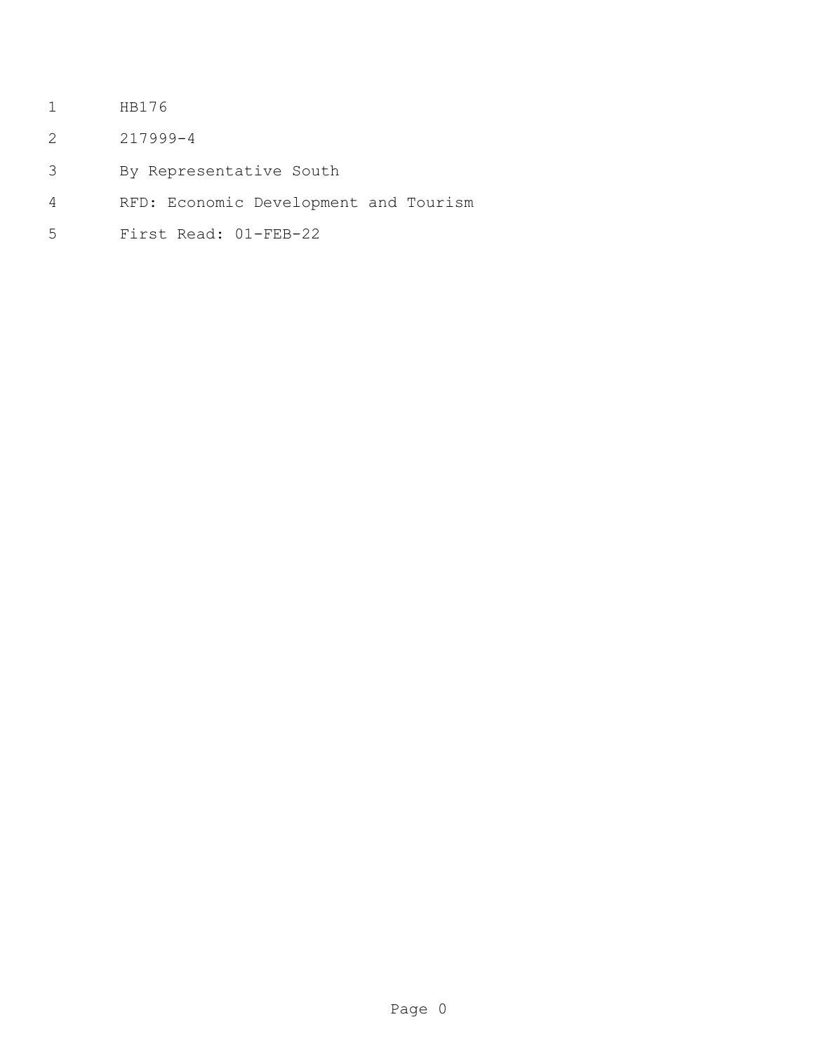- HB176
- 217999-4
- By Representative South
- RFD: Economic Development and Tourism
- First Read: 01-FEB-22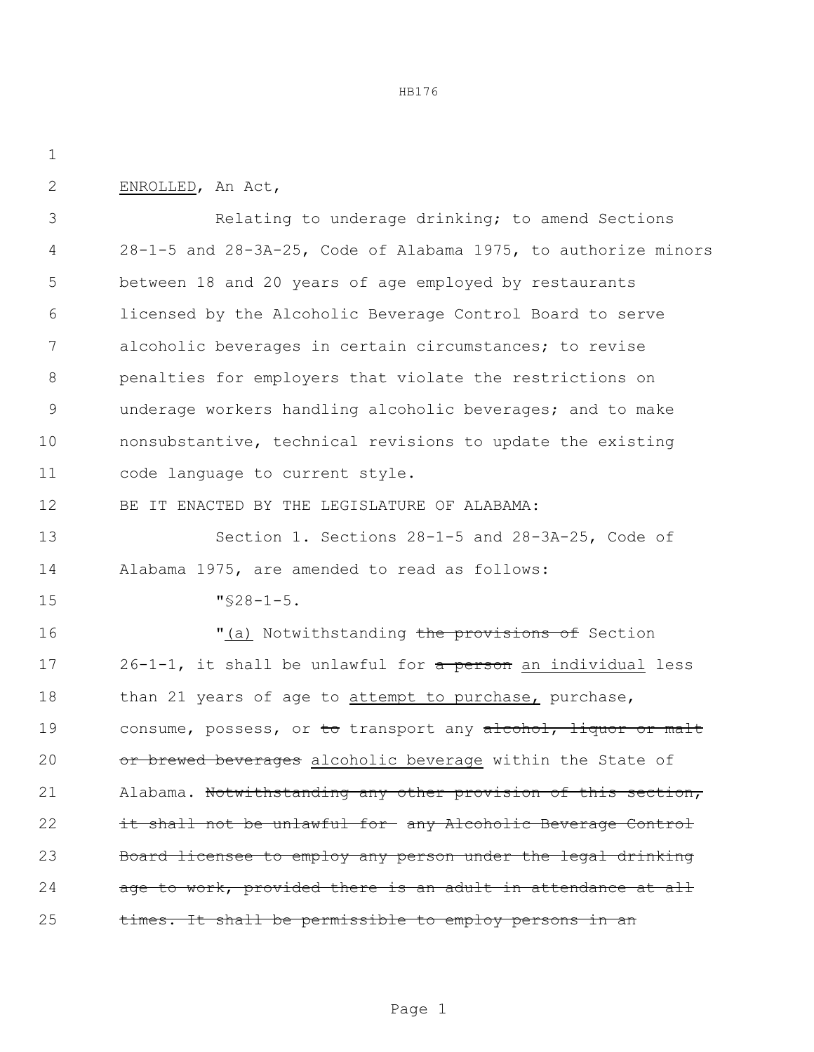HB176

| ٠   |
|-----|
| . . |

ENROLLED, An Act,

 Relating to underage drinking; to amend Sections 28-1-5 and 28-3A-25, Code of Alabama 1975, to authorize minors between 18 and 20 years of age employed by restaurants licensed by the Alcoholic Beverage Control Board to serve alcoholic beverages in certain circumstances; to revise penalties for employers that violate the restrictions on underage workers handling alcoholic beverages; and to make nonsubstantive, technical revisions to update the existing code language to current style.

BE IT ENACTED BY THE LEGISLATURE OF ALABAMA:

 Section 1. Sections 28-1-5 and 28-3A-25, Code of Alabama 1975, are amended to read as follows:

"§28-1-5.

16 The Motwithstanding the provisions of Section 17 26-1-1, it shall be unlawful for a person an individual less 18 than 21 years of age to attempt to purchase, purchase, 19 consume, possess, or to transport any alcohol, liquor or malt 20 or brewed beverages alcoholic beverage within the State of 21 Alabama. Notwithstanding any other provision of this section, it shall not be unlawful for any Alcoholic Beverage Control Board licensee to employ any person under the legal drinking 24 age to work, provided there is an adult in attendance at all 25 times. It shall be permissible to employ persons in an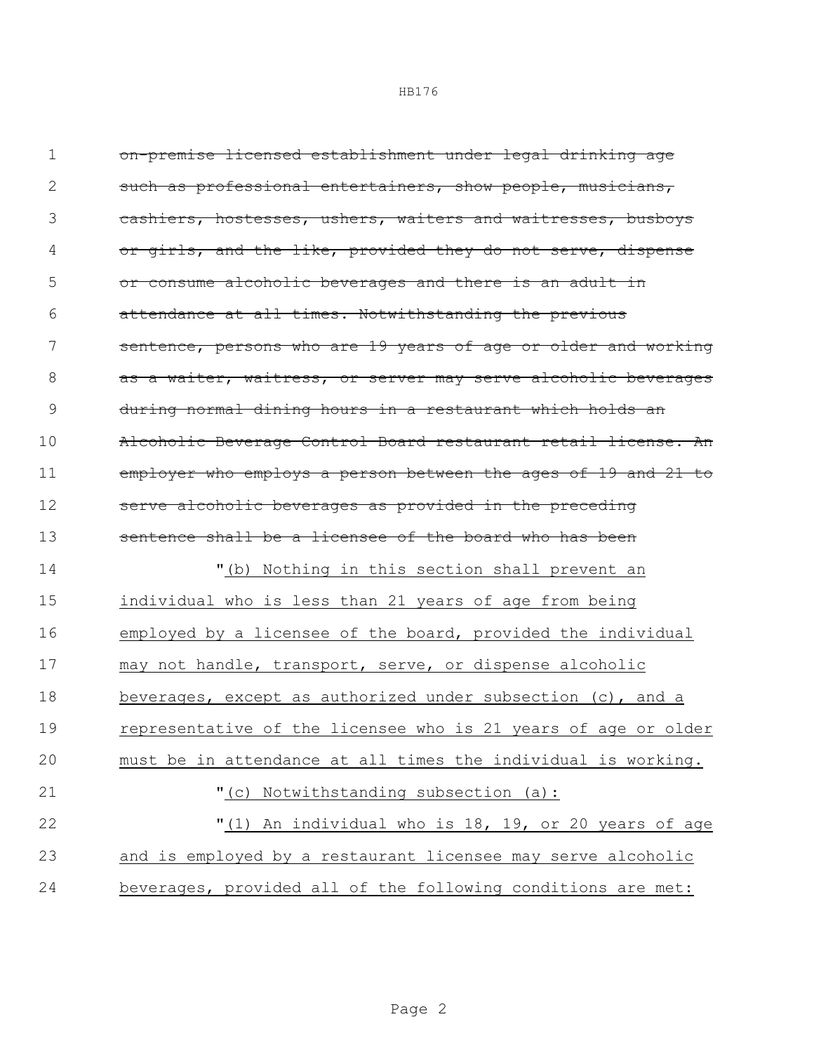on-premise licensed establishment under legal drinking age 2 such as professional entertainers, show people, musicians, cashiers, hostesses, ushers, waiters and waitresses, busboys 4 or girls, and the like, provided they do not serve, dispense 5 or consume alcoholic beverages and there is an adult in attendance at all times. Notwithstanding the previous sentence, persons who are 19 years of age or older and working 8 as a waiter, waitress, or server may serve alcoholic beverages during normal dining hours in a restaurant which holds an Alcoholic Beverage Control Board restaurant retail license. An employer who employs a person between the ages of 19 and 21 to 12 serve alcoholic beverages as provided in the preceding sentence shall be a licensee of the board who has been "(b) Nothing in this section shall prevent an individual who is less than 21 years of age from being employed by a licensee of the board, provided the individual may not handle, transport, serve, or dispense alcoholic beverages, except as authorized under subsection (c), and a representative of the licensee who is 21 years of age or older must be in attendance at all times the individual is working. "(c) Notwithstanding subsection (a): "(1) An individual who is 18, 19, or 20 years of age and is employed by a restaurant licensee may serve alcoholic beverages, provided all of the following conditions are met: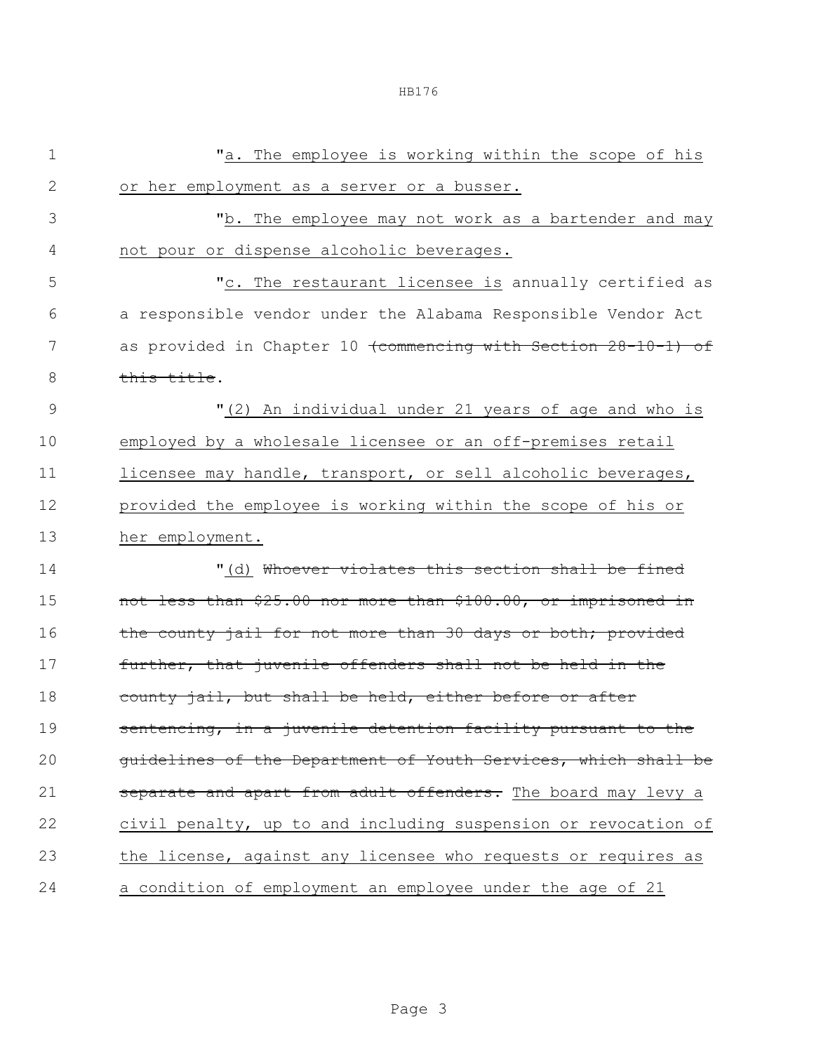| $1\,$         | "a. The employee is working within the scope of his                       |  |  |  |
|---------------|---------------------------------------------------------------------------|--|--|--|
|               |                                                                           |  |  |  |
| $\mathbf{2}$  | or her employment as a server or a busser.                                |  |  |  |
| 3             | "b. The employee may not work as a bartender and may                      |  |  |  |
| 4             | not pour or dispense alcoholic beverages.                                 |  |  |  |
| 5             | "c. The restaurant licensee is annually certified as                      |  |  |  |
| 6             | a responsible vendor under the Alabama Responsible Vendor Act             |  |  |  |
| 7             | as provided in Chapter 10 <del>(commencing with Section 28-10-1) of</del> |  |  |  |
| 8             | this title.                                                               |  |  |  |
| $\mathcal{G}$ | "(2) An individual under 21 years of age and who is                       |  |  |  |
| 10            | employed by a wholesale licensee or an off-premises retail                |  |  |  |
| 11            | licensee may handle, transport, or sell alcoholic beverages,              |  |  |  |
| 12            | provided the employee is working within the scope of his or               |  |  |  |
| 13            | her employment.                                                           |  |  |  |
| 14            | "(d) <del>Whoever violates this section shall be fined</del>              |  |  |  |
| 15            | not less than \$25.00 nor more than \$100.00, or imprisoned in            |  |  |  |
| 16            | the county jail for not more than 30 days or both; provided               |  |  |  |
| 17            | further, that juvenile offenders shall not be held in the                 |  |  |  |
| 18            | county jail, but shall be held, either before or after                    |  |  |  |
| 19            | sentencing, in a juvenile detention facility pursuant to the              |  |  |  |
| 20            | guidelines of the Department of Youth Services, which shall be            |  |  |  |
| 21            | separate and apart from adult offenders. The board may levy a             |  |  |  |
| 22            | civil penalty, up to and including suspension or revocation of            |  |  |  |
| 23            | the license, against any licensee who requests or requires as             |  |  |  |
| 24            | a condition of employment an employee under the age of 21                 |  |  |  |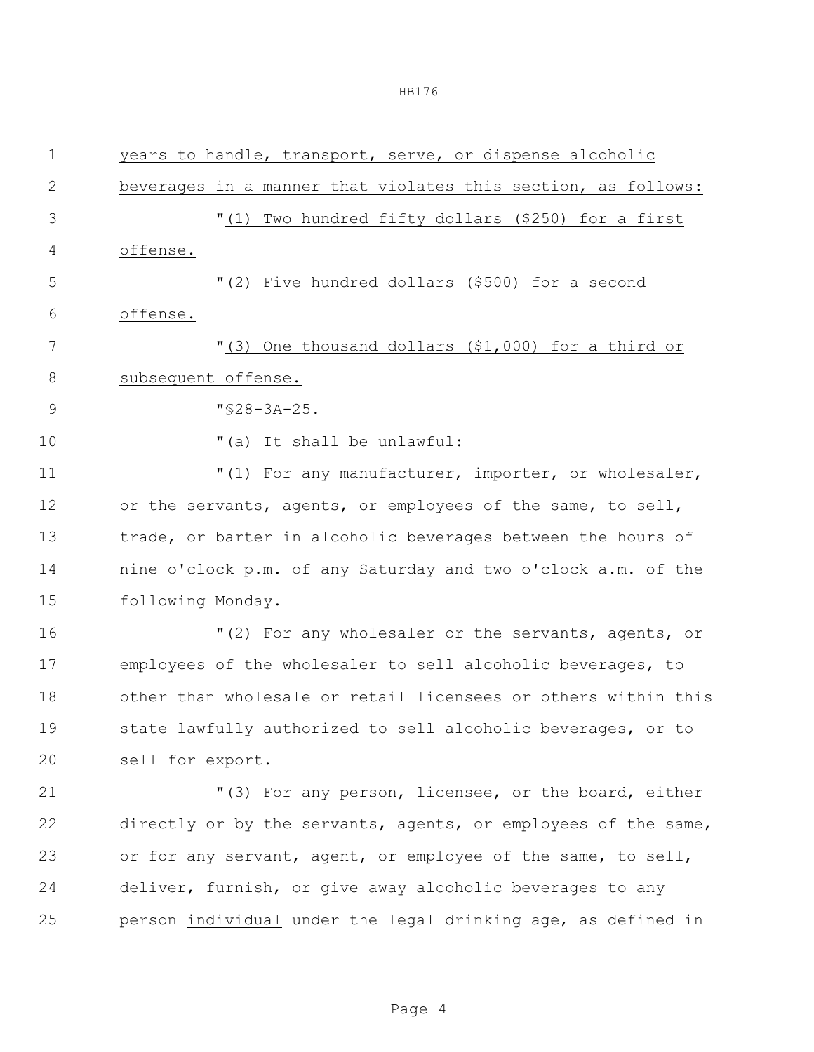| 1            | years to handle, transport, serve, or dispense alcoholic       |  |  |  |
|--------------|----------------------------------------------------------------|--|--|--|
| $\mathbf{2}$ | beverages in a manner that violates this section, as follows:  |  |  |  |
| 3            | "(1) Two hundred fifty dollars (\$250) for a first             |  |  |  |
| 4            | offense.                                                       |  |  |  |
| 5            | "(2) Five hundred dollars (\$500) for a second                 |  |  |  |
| 6            | offense.                                                       |  |  |  |
| 7            | "(3) One thousand dollars (\$1,000) for a third or             |  |  |  |
| 8            | subsequent offense.                                            |  |  |  |
| $\mathsf{9}$ | $"$ \$28-3A-25.                                                |  |  |  |
| 10           | "(a) It shall be unlawful:                                     |  |  |  |
| 11           | "(1) For any manufacturer, importer, or wholesaler,            |  |  |  |
| 12           | or the servants, agents, or employees of the same, to sell,    |  |  |  |
| 13           | trade, or barter in alcoholic beverages between the hours of   |  |  |  |
| 14           | nine o'clock p.m. of any Saturday and two o'clock a.m. of the  |  |  |  |
| 15           | following Monday.                                              |  |  |  |
| 16           | "(2) For any wholesaler or the servants, agents, or            |  |  |  |
| 17           | employees of the wholesaler to sell alcoholic beverages, to    |  |  |  |
| 18           | other than wholesale or retail licensees or others within this |  |  |  |
| 19           | state lawfully authorized to sell alcoholic beverages, or to   |  |  |  |
| 20           | sell for export.                                               |  |  |  |
| 21           | "(3) For any person, licensee, or the board, either            |  |  |  |
| 22           | directly or by the servants, agents, or employees of the same, |  |  |  |
| 23           | or for any servant, agent, or employee of the same, to sell,   |  |  |  |
| 24           | deliver, furnish, or give away alcoholic beverages to any      |  |  |  |
| 25           | person individual under the legal drinking age, as defined in  |  |  |  |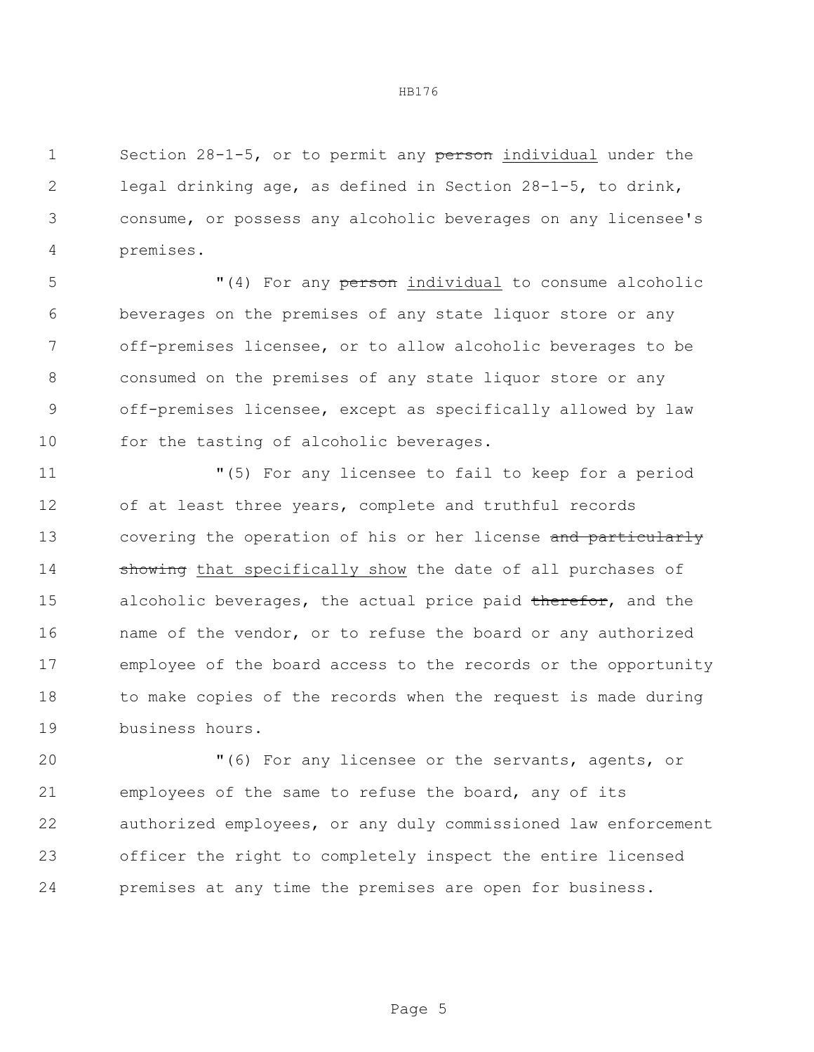1 Section 28-1-5, or to permit any person individual under the legal drinking age, as defined in Section 28-1-5, to drink, consume, or possess any alcoholic beverages on any licensee's premises.

 $(4)$  For any person individual to consume alcoholic beverages on the premises of any state liquor store or any off-premises licensee, or to allow alcoholic beverages to be consumed on the premises of any state liquor store or any off-premises licensee, except as specifically allowed by law 10 for the tasting of alcoholic beverages.

 "(5) For any licensee to fail to keep for a period of at least three years, complete and truthful records 13 covering the operation of his or her license and particularly **showing** that specifically show the date of all purchases of 15 alcoholic beverages, the actual price paid therefor, and the name of the vendor, or to refuse the board or any authorized employee of the board access to the records or the opportunity to make copies of the records when the request is made during business hours.

 "(6) For any licensee or the servants, agents, or employees of the same to refuse the board, any of its authorized employees, or any duly commissioned law enforcement officer the right to completely inspect the entire licensed premises at any time the premises are open for business.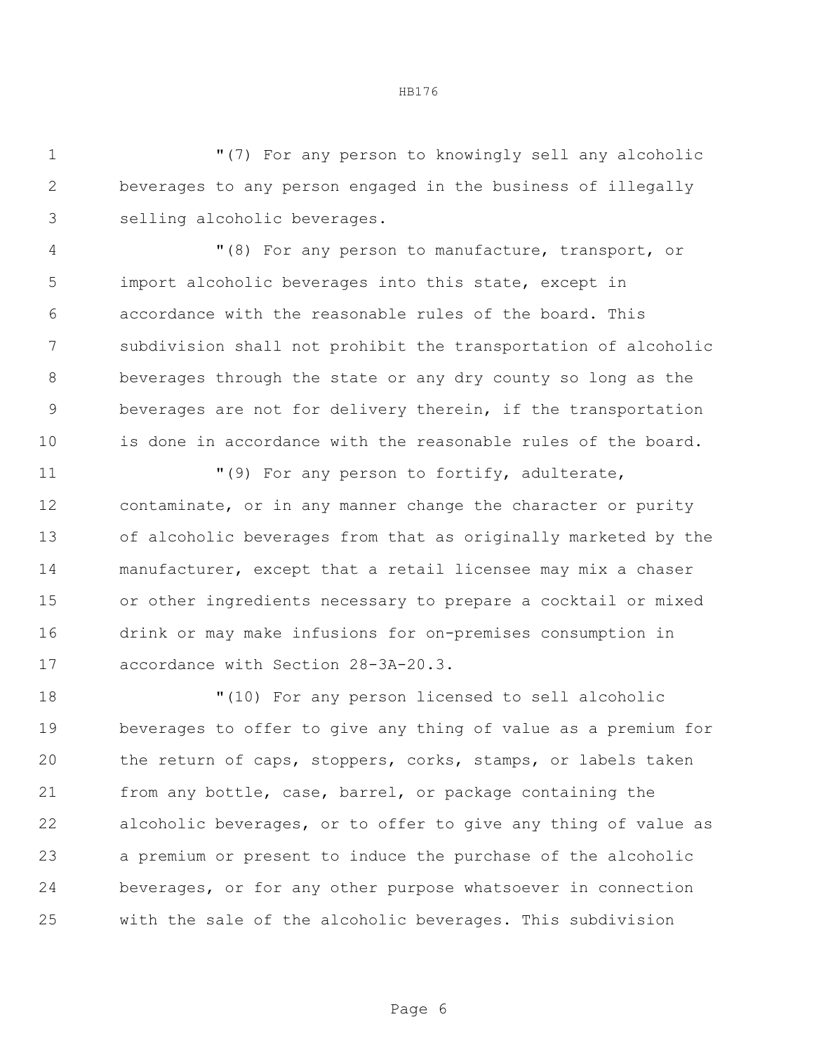"(7) For any person to knowingly sell any alcoholic beverages to any person engaged in the business of illegally selling alcoholic beverages.

 "(8) For any person to manufacture, transport, or import alcoholic beverages into this state, except in accordance with the reasonable rules of the board. This subdivision shall not prohibit the transportation of alcoholic beverages through the state or any dry county so long as the beverages are not for delivery therein, if the transportation is done in accordance with the reasonable rules of the board.

 $\blacksquare(9)$  For any person to fortify, adulterate, contaminate, or in any manner change the character or purity of alcoholic beverages from that as originally marketed by the manufacturer, except that a retail licensee may mix a chaser or other ingredients necessary to prepare a cocktail or mixed drink or may make infusions for on-premises consumption in accordance with Section 28-3A-20.3.

 "(10) For any person licensed to sell alcoholic beverages to offer to give any thing of value as a premium for the return of caps, stoppers, corks, stamps, or labels taken from any bottle, case, barrel, or package containing the alcoholic beverages, or to offer to give any thing of value as a premium or present to induce the purchase of the alcoholic beverages, or for any other purpose whatsoever in connection with the sale of the alcoholic beverages. This subdivision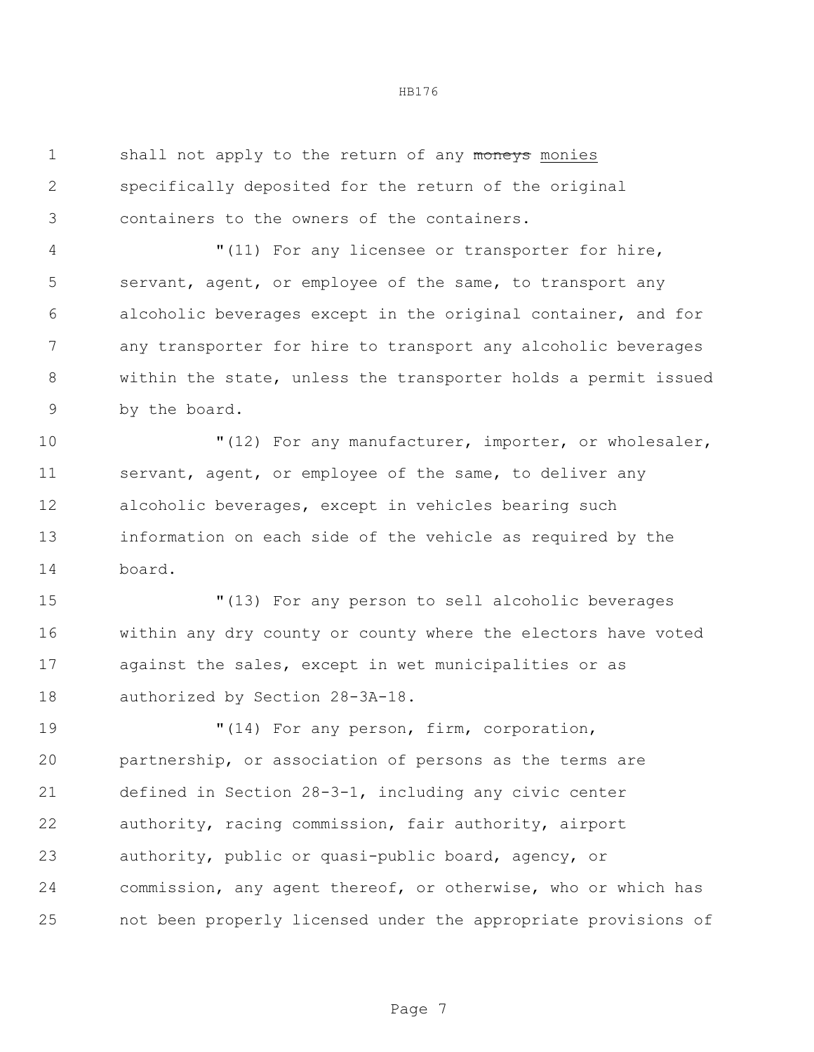1 shall not apply to the return of any moneys monies specifically deposited for the return of the original containers to the owners of the containers.

 "(11) For any licensee or transporter for hire, servant, agent, or employee of the same, to transport any alcoholic beverages except in the original container, and for any transporter for hire to transport any alcoholic beverages within the state, unless the transporter holds a permit issued by the board.

10 The Music of the Termin of the Music of the Music of the Music or wholesaler, servant, agent, or employee of the same, to deliver any alcoholic beverages, except in vehicles bearing such information on each side of the vehicle as required by the board.

 "(13) For any person to sell alcoholic beverages within any dry county or county where the electors have voted against the sales, except in wet municipalities or as authorized by Section 28-3A-18.

 $(14)$  For any person, firm, corporation, partnership, or association of persons as the terms are defined in Section 28-3-1, including any civic center authority, racing commission, fair authority, airport authority, public or quasi-public board, agency, or commission, any agent thereof, or otherwise, who or which has not been properly licensed under the appropriate provisions of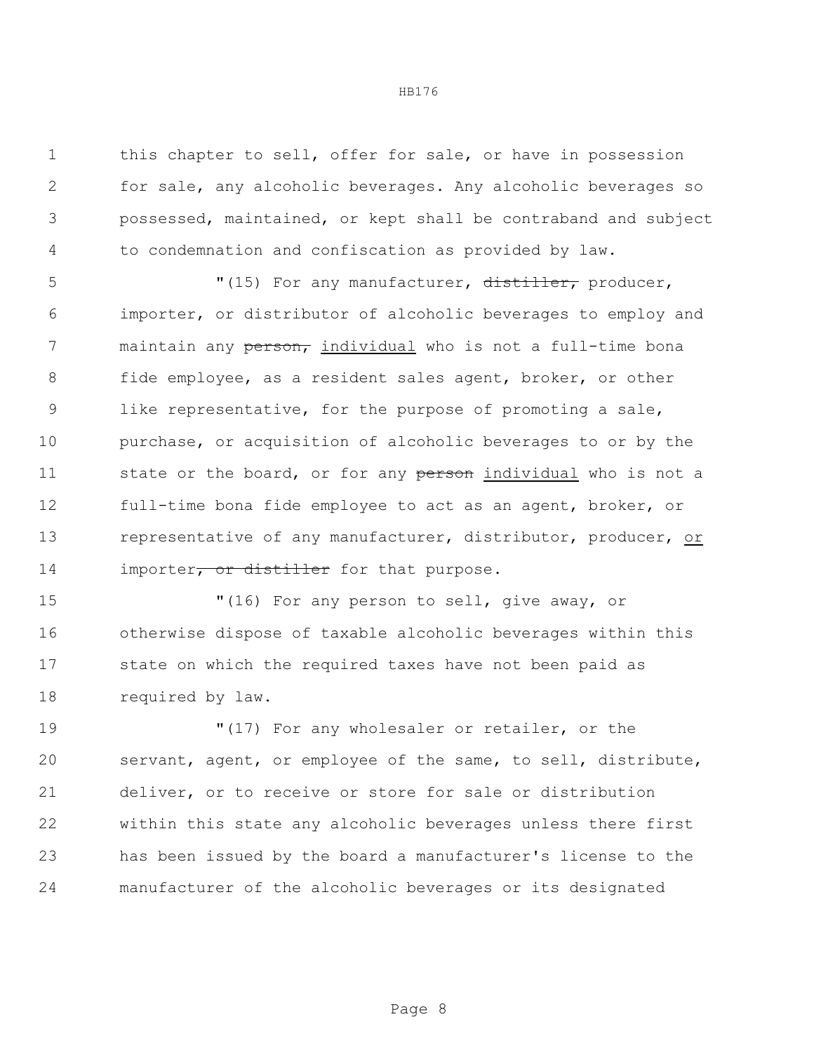this chapter to sell, offer for sale, or have in possession for sale, any alcoholic beverages. Any alcoholic beverages so possessed, maintained, or kept shall be contraband and subject to condemnation and confiscation as provided by law.

5 "(15) For any manufacturer, distiller, producer, importer, or distributor of alcoholic beverages to employ and 7 maintain any person, individual who is not a full-time bona fide employee, as a resident sales agent, broker, or other like representative, for the purpose of promoting a sale, purchase, or acquisition of alcoholic beverages to or by the 11 state or the board, or for any person individual who is not a full-time bona fide employee to act as an agent, broker, or 13 representative of any manufacturer, distributor, producer, or 14 importer, or distiller for that purpose.

 "(16) For any person to sell, give away, or otherwise dispose of taxable alcoholic beverages within this state on which the required taxes have not been paid as required by law.

 "(17) For any wholesaler or retailer, or the servant, agent, or employee of the same, to sell, distribute, deliver, or to receive or store for sale or distribution within this state any alcoholic beverages unless there first has been issued by the board a manufacturer's license to the manufacturer of the alcoholic beverages or its designated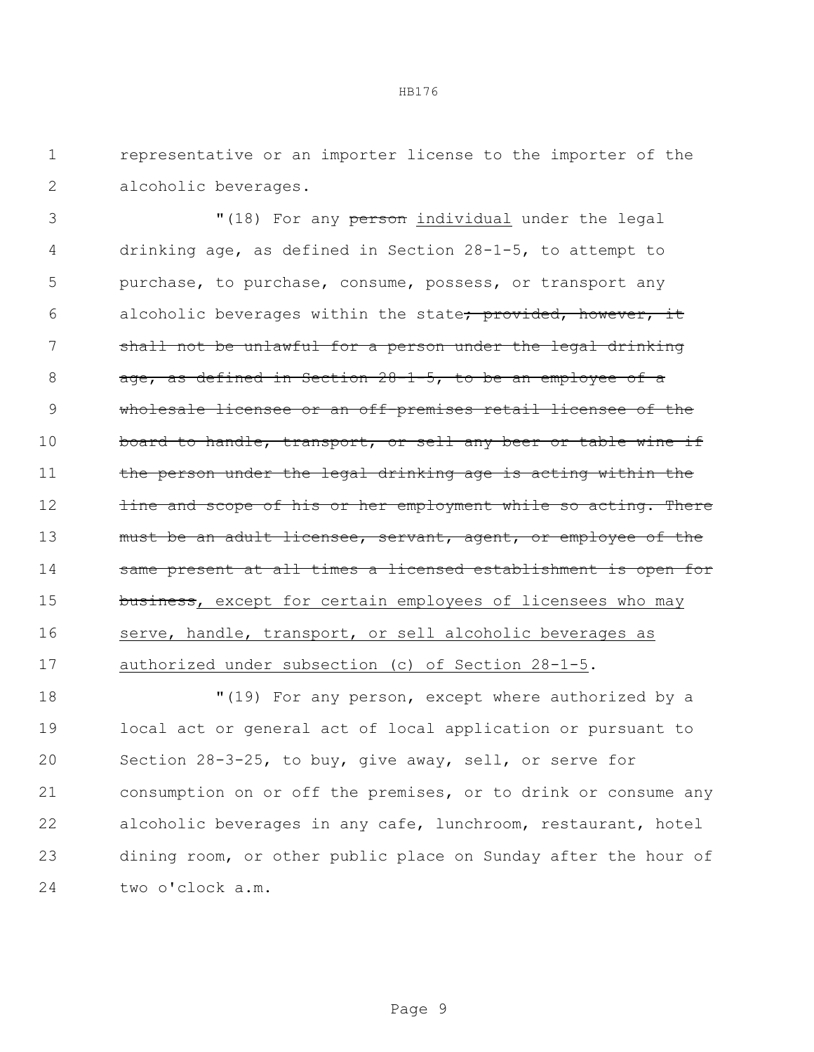1 representative or an importer license to the importer of the 2 alcoholic beverages.

3 "(18) For any person individual under the legal 4 drinking age, as defined in Section 28-1-5, to attempt to 5 purchase, to purchase, consume, possess, or transport any 6 alcoholic beverages within the state; provided, however, it 7 shall not be unlawful for a person under the legal drinking 8 age, as defined in Section 28-1-5, to be an employee of a 9 wholesale licensee or an off-premises retail licensee of the 10 board to handle, transport, or sell any beer or table wine if 11 the person under the legal drinking age is acting within the 12 **line and scope of his or her employment while so acting. There** 13 must be an adult licensee, servant, agent, or employee of the 14 same present at all times a licensed establishment is open for 15 business, except for certain employees of licensees who may 16 serve, handle, transport, or sell alcoholic beverages as 17 authorized under subsection (c) of Section 28-1-5.

 "(19) For any person, except where authorized by a local act or general act of local application or pursuant to Section 28-3-25, to buy, give away, sell, or serve for consumption on or off the premises, or to drink or consume any alcoholic beverages in any cafe, lunchroom, restaurant, hotel dining room, or other public place on Sunday after the hour of two o'clock a.m.

Page 9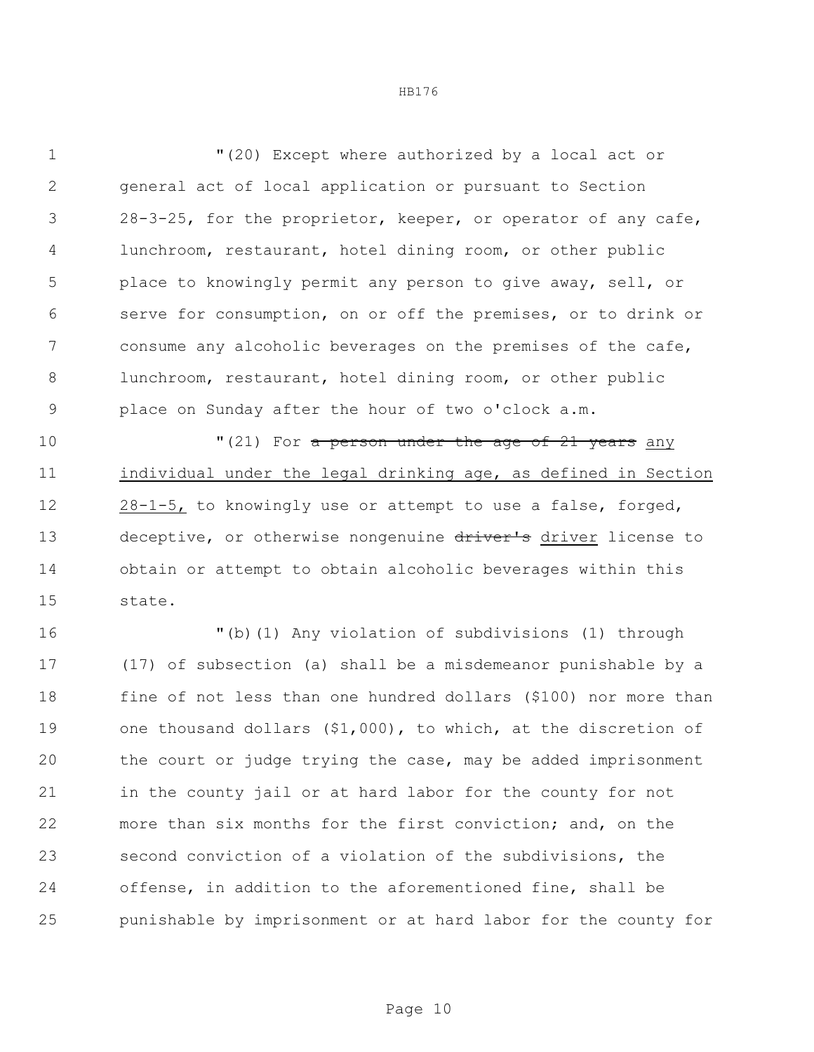"(20) Except where authorized by a local act or general act of local application or pursuant to Section 28-3-25, for the proprietor, keeper, or operator of any cafe, lunchroom, restaurant, hotel dining room, or other public place to knowingly permit any person to give away, sell, or serve for consumption, on or off the premises, or to drink or consume any alcoholic beverages on the premises of the cafe, lunchroom, restaurant, hotel dining room, or other public place on Sunday after the hour of two o'clock a.m.

**10** T(21) For a person under the age of 21 years any individual under the legal drinking age, as defined in Section 12 28-1-5, to knowingly use or attempt to use a false, forged, 13 deceptive, or otherwise nongenuine driver's driver license to obtain or attempt to obtain alcoholic beverages within this state.

 "(b)(1) Any violation of subdivisions (1) through (17) of subsection (a) shall be a misdemeanor punishable by a fine of not less than one hundred dollars (\$100) nor more than one thousand dollars (\$1,000), to which, at the discretion of the court or judge trying the case, may be added imprisonment in the county jail or at hard labor for the county for not more than six months for the first conviction; and, on the second conviction of a violation of the subdivisions, the offense, in addition to the aforementioned fine, shall be punishable by imprisonment or at hard labor for the county for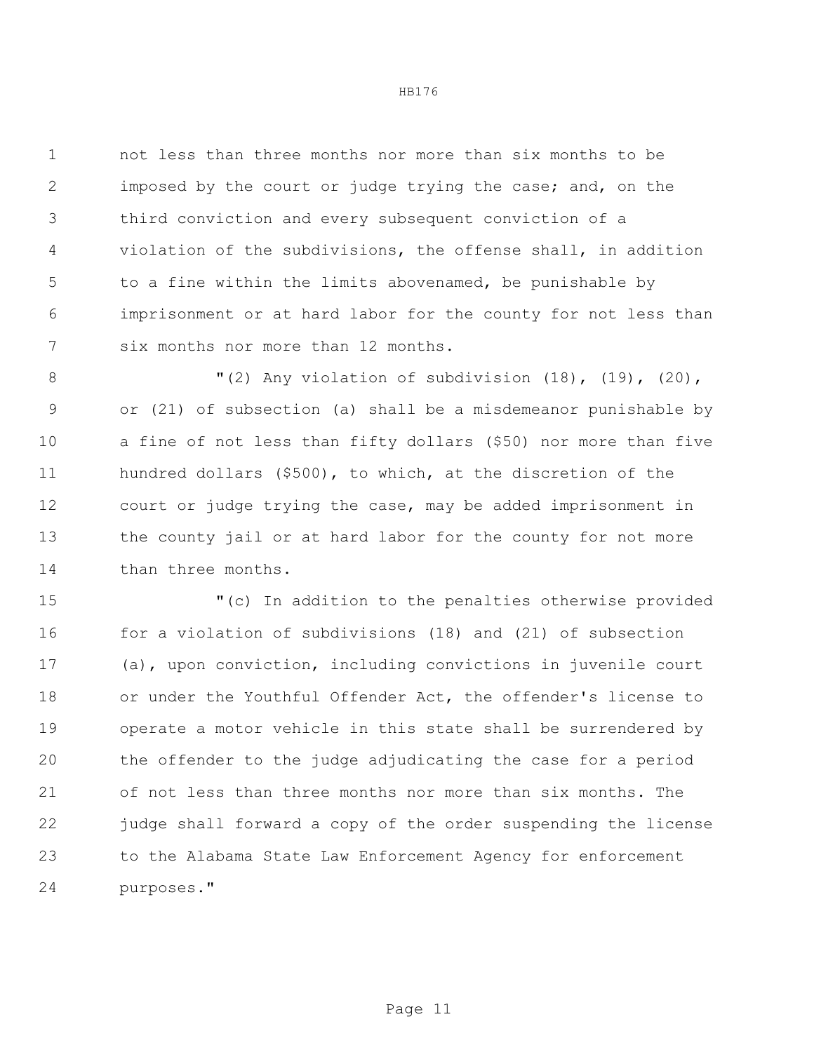not less than three months nor more than six months to be imposed by the court or judge trying the case; and, on the third conviction and every subsequent conviction of a violation of the subdivisions, the offense shall, in addition to a fine within the limits abovenamed, be punishable by imprisonment or at hard labor for the county for not less than six months nor more than 12 months.

 "(2) Any violation of subdivision (18), (19), (20), or (21) of subsection (a) shall be a misdemeanor punishable by a fine of not less than fifty dollars (\$50) nor more than five hundred dollars (\$500), to which, at the discretion of the court or judge trying the case, may be added imprisonment in the county jail or at hard labor for the county for not more 14 than three months.

 "(c) In addition to the penalties otherwise provided for a violation of subdivisions (18) and (21) of subsection (a), upon conviction, including convictions in juvenile court or under the Youthful Offender Act, the offender's license to operate a motor vehicle in this state shall be surrendered by the offender to the judge adjudicating the case for a period of not less than three months nor more than six months. The judge shall forward a copy of the order suspending the license to the Alabama State Law Enforcement Agency for enforcement purposes."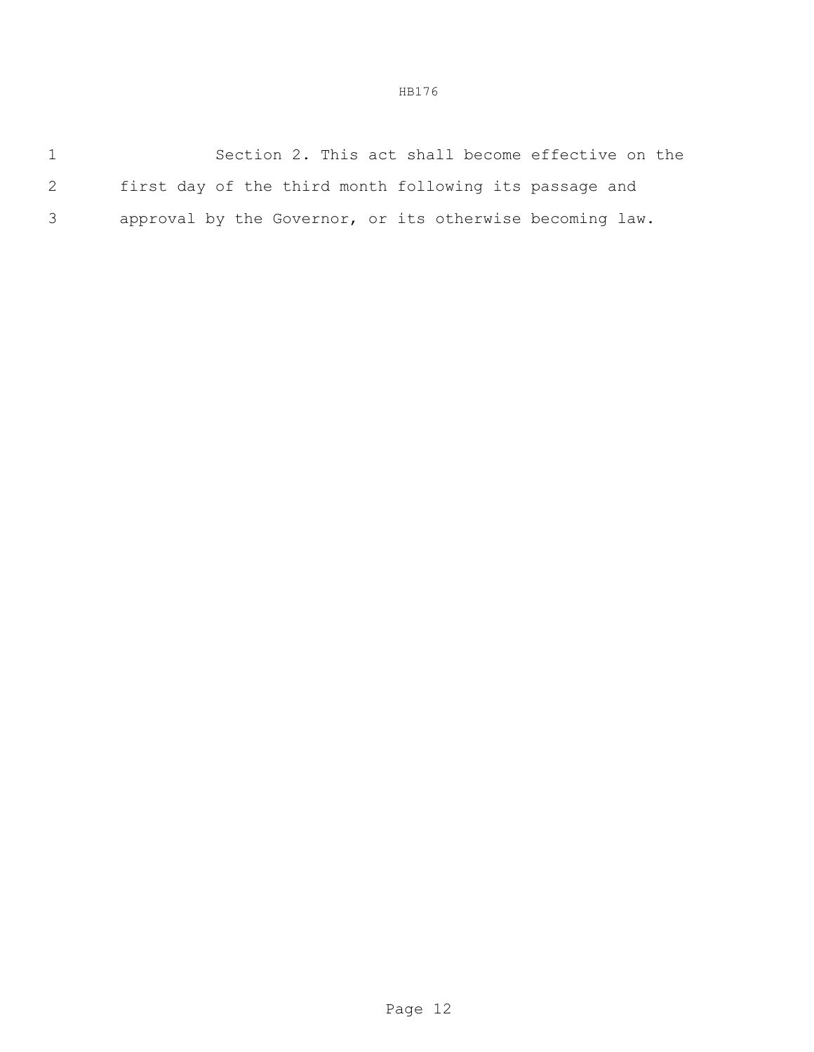1 Section 2. This act shall become effective on the 2 first day of the third month following its passage and 3 approval by the Governor, or its otherwise becoming law.